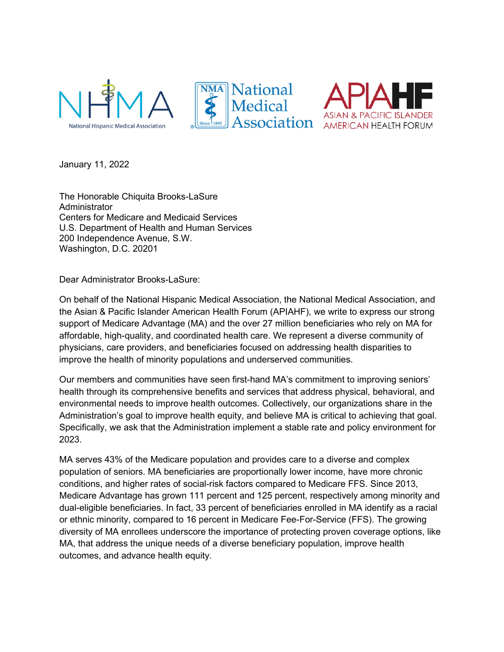





January 11, 2022

The Honorable Chiquita Brooks-LaSure Administrator Centers for Medicare and Medicaid Services U.S. Department of Health and Human Services 200 Independence Avenue, S.W. Washington, D.C. 20201

Dear Administrator Brooks-LaSure:

On behalf of the National Hispanic Medical Association, the National Medical Association, and the Asian & Pacific Islander American Health Forum (APIAHF), we write to express our strong support of Medicare Advantage (MA) and the over 27 million beneficiaries who rely on MA for affordable, high-quality, and coordinated health care. We represent a diverse community of physicians, care providers, and beneficiaries focused on addressing health disparities to improve the health of minority populations and underserved communities.

Our members and communities have seen first-hand MA's commitment to improving seniors' health through its comprehensive benefits and services that address physical, behavioral, and environmental needs to improve health outcomes. Collectively, our organizations share in the Administration's goal to improve health equity, and believe MA is critical to achieving that goal. Specifically, we ask that the Administration implement a stable rate and policy environment for 2023.

MA serves 43% of the Medicare population and provides care to a diverse and complex population of seniors. MA beneficiaries are proportionally lower income, have more chronic conditions, and higher rates of social-risk factors compared to Medicare FFS. Since 2013, Medicare Advantage has grown 111 percent and 125 percent, respectively among minority and dual-eligible beneficiaries. In fact, 33 percent of beneficiaries enrolled in MA identify as a racial or ethnic minority, compared to 16 percent in Medicare Fee-For-Service (FFS). The growing diversity of MA enrollees underscore the importance of protecting proven coverage options, like MA, that address the unique needs of a diverse beneficiary population, improve health outcomes, and advance health equity.